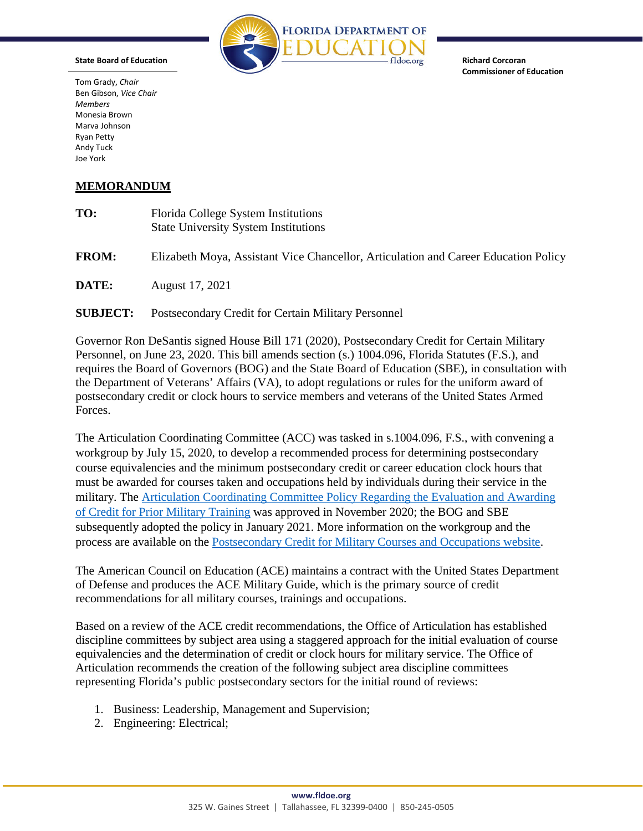

**Richard Corcoran Commissioner of Education**

Tom Grady, *Chair* Ben Gibson, *Vice Chair Members* Monesia Brown Marva Johnson Ryan Petty Andy Tuck Joe York

**State Board of Education**

## **MEMORANDUM**

| TO:             | Florida College System Institutions<br><b>State University System Institutions</b>  |
|-----------------|-------------------------------------------------------------------------------------|
| <b>FROM:</b>    | Elizabeth Moya, Assistant Vice Chancellor, Articulation and Career Education Policy |
| DATE:           | August 17, 2021                                                                     |
| <b>SUBJECT:</b> | Postsecondary Credit for Certain Military Personnel                                 |

Governor Ron DeSantis signed House Bill 171 (2020), Postsecondary Credit for Certain Military Personnel, on June 23, 2020. This bill amends section (s.) 1004.096, Florida Statutes (F.S.), and requires the Board of Governors (BOG) and the State Board of Education (SBE), in consultation with the Department of Veterans' Affairs (VA), to adopt regulations or rules for the uniform award of postsecondary credit or clock hours to service members and veterans of the United States Armed Forces.

The Articulation Coordinating Committee (ACC) was tasked in s.1004.096, F.S., with convening a workgroup by July 15, 2020, to develop a recommended process for determining postsecondary course equivalencies and the minimum postsecondary credit or career education clock hours that must be awarded for courses taken and occupations held by individuals during their service in the military. The [Articulation Coordinating Committee Policy Regarding the Evaluation and Awarding](https://www.fldoe.org/core/fileparse.php/5421/urlt/ACCPolicyRegardEvalAwardCreditPriorMilitaryTrain.pdf)  [of Credit for Prior Military Training](https://www.fldoe.org/core/fileparse.php/5421/urlt/ACCPolicyRegardEvalAwardCreditPriorMilitaryTrain.pdf) was approved in November 2020; the BOG and SBE subsequently adopted the policy in January 2021. More information on the workgroup and the process are available on the [Postsecondary Credit for Military Courses and Occupations website.](https://www.fldoe.org/policy/articulation/ps-credit-military.stml)

The American Council on Education (ACE) maintains a contract with the United States Department of Defense and produces the ACE Military Guide, which is the primary source of credit recommendations for all military courses, trainings and occupations.

Based on a review of the ACE credit recommendations, the Office of Articulation has established discipline committees by subject area using a staggered approach for the initial evaluation of course equivalencies and the determination of credit or clock hours for military service. The Office of Articulation recommends the creation of the following subject area discipline committees representing Florida's public postsecondary sectors for the initial round of reviews:

- 1. Business: Leadership, Management and Supervision;
- 2. Engineering: Electrical;